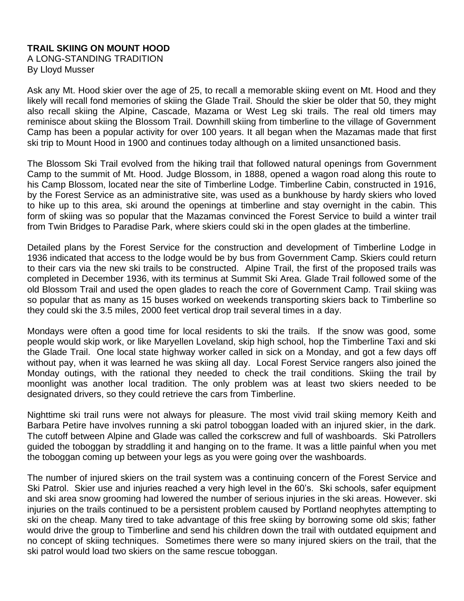## **TRAIL SKIING ON MOUNT HOOD**

A LONG-STANDING TRADITION By Lloyd Musser

Ask any Mt. Hood skier over the age of 25, to recall a memorable skiing event on Mt. Hood and they likely will recall fond memories of skiing the Glade Trail. Should the skier be older that 50, they might also recall skiing the Alpine, Cascade, Mazama or West Leg ski trails. The real old timers may reminisce about skiing the Blossom Trail. Downhill skiing from timberline to the village of Government Camp has been a popular activity for over 100 years. It all began when the Mazamas made that first ski trip to Mount Hood in 1900 and continues today although on a limited unsanctioned basis.

The Blossom Ski Trail evolved from the hiking trail that followed natural openings from Government Camp to the summit of Mt. Hood. Judge Blossom, in 1888, opened a wagon road along this route to his Camp Blossom, located near the site of Timberline Lodge. Timberline Cabin, constructed in 1916, by the Forest Service as an administrative site, was used as a bunkhouse by hardy skiers who loved to hike up to this area, ski around the openings at timberline and stay overnight in the cabin. This form of skiing was so popular that the Mazamas convinced the Forest Service to build a winter trail from Twin Bridges to Paradise Park, where skiers could ski in the open glades at the timberline.

Detailed plans by the Forest Service for the construction and development of Timberline Lodge in 1936 indicated that access to the lodge would be by bus from Government Camp. Skiers could return to their cars via the new ski trails to be constructed. Alpine Trail, the first of the proposed trails was completed in December 1936, with its terminus at Summit Ski Area. Glade Trail followed some of the old Blossom Trail and used the open glades to reach the core of Government Camp. Trail skiing was so popular that as many as 15 buses worked on weekends transporting skiers back to Timberline so they could ski the 3.5 miles, 2000 feet vertical drop trail several times in a day.

Mondays were often a good time for local residents to ski the trails. If the snow was good, some people would skip work, or like Maryellen Loveland, skip high school, hop the Timberline Taxi and ski the Glade Trail. One local state highway worker called in sick on a Monday, and got a few days off without pay, when it was learned he was skiing all day. Local Forest Service rangers also joined the Monday outings, with the rational they needed to check the trail conditions. Skiing the trail by moonlight was another local tradition. The only problem was at least two skiers needed to be designated drivers, so they could retrieve the cars from Timberline.

Nighttime ski trail runs were not always for pleasure. The most vivid trail skiing memory Keith and Barbara Petire have involves running a ski patrol toboggan loaded with an injured skier, in the dark. The cutoff between Alpine and Glade was called the corkscrew and full of washboards. Ski Patrollers guided the toboggan by straddling it and hanging on to the frame. It was a little painful when you met the toboggan coming up between your legs as you were going over the washboards.

The number of injured skiers on the trail system was a continuing concern of the Forest Service and Ski Patrol. Skier use and injuries reached a very high level in the 60's. Ski schools, safer equipment and ski area snow grooming had lowered the number of serious injuries in the ski areas. However. ski injuries on the trails continued to be a persistent problem caused by Portland neophytes attempting to ski on the cheap. Many tired to take advantage of this free skiing by borrowing some old skis; father would drive the group to Timberline and send his children down the trail with outdated equipment and no concept of skiing techniques. Sometimes there were so many injured skiers on the trail, that the ski patrol would load two skiers on the same rescue toboggan.